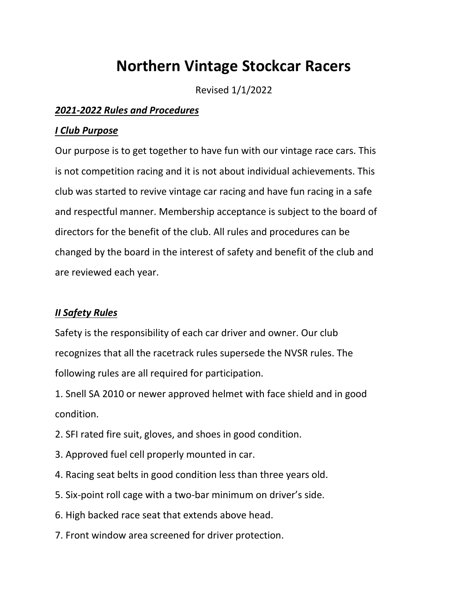# **Northern Vintage Stockcar Racers**

Revised 1/1/2022

### *2021-2022 Rules and Procedures*

### *I Club Purpose*

Our purpose is to get together to have fun with our vintage race cars. This is not competition racing and it is not about individual achievements. This club was started to revive vintage car racing and have fun racing in a safe and respectful manner. Membership acceptance is subject to the board of directors for the benefit of the club. All rules and procedures can be changed by the board in the interest of safety and benefit of the club and are reviewed each year.

## *II Safety Rules*

Safety is the responsibility of each car driver and owner. Our club recognizes that all the racetrack rules supersede the NVSR rules. The following rules are all required for participation.

1. Snell SA 2010 or newer approved helmet with face shield and in good condition.

- 2. SFI rated fire suit, gloves, and shoes in good condition.
- 3. Approved fuel cell properly mounted in car.
- 4. Racing seat belts in good condition less than three years old.
- 5. Six-point roll cage with a two-bar minimum on driver's side.
- 6. High backed race seat that extends above head.
- 7. Front window area screened for driver protection.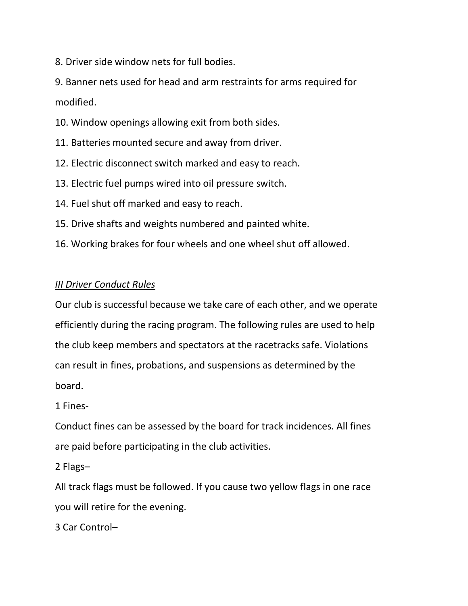8. Driver side window nets for full bodies.

9. Banner nets used for head and arm restraints for arms required for modified.

- 10. Window openings allowing exit from both sides.
- 11. Batteries mounted secure and away from driver.
- 12. Electric disconnect switch marked and easy to reach.
- 13. Electric fuel pumps wired into oil pressure switch.
- 14. Fuel shut off marked and easy to reach.
- 15. Drive shafts and weights numbered and painted white.
- 16. Working brakes for four wheels and one wheel shut off allowed.

## *III Driver Conduct Rules*

Our club is successful because we take care of each other, and we operate efficiently during the racing program. The following rules are used to help the club keep members and spectators at the racetracks safe. Violations can result in fines, probations, and suspensions as determined by the board.

1 Fines-

Conduct fines can be assessed by the board for track incidences. All fines are paid before participating in the club activities.

2 Flags–

All track flags must be followed. If you cause two yellow flags in one race you will retire for the evening.

3 Car Control–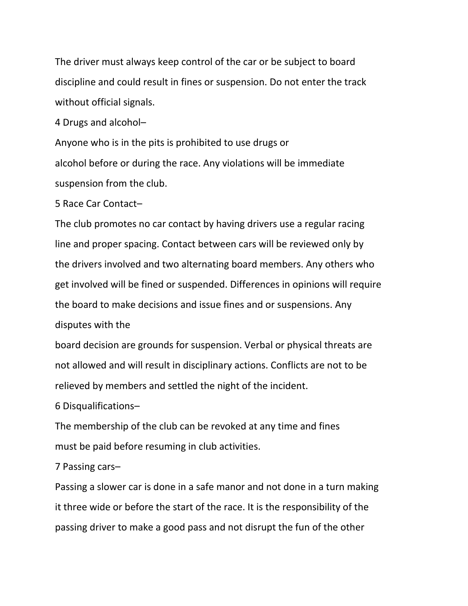The driver must always keep control of the car or be subject to board discipline and could result in fines or suspension. Do not enter the track without official signals.

4 Drugs and alcohol–

Anyone who is in the pits is prohibited to use drugs or alcohol before or during the race. Any violations will be immediate suspension from the club.

5 Race Car Contact–

The club promotes no car contact by having drivers use a regular racing line and proper spacing. Contact between cars will be reviewed only by the drivers involved and two alternating board members. Any others who get involved will be fined or suspended. Differences in opinions will require the board to make decisions and issue fines and or suspensions. Any disputes with the

board decision are grounds for suspension. Verbal or physical threats are not allowed and will result in disciplinary actions. Conflicts are not to be relieved by members and settled the night of the incident.

6 Disqualifications–

The membership of the club can be revoked at any time and fines must be paid before resuming in club activities.

7 Passing cars–

Passing a slower car is done in a safe manor and not done in a turn making it three wide or before the start of the race. It is the responsibility of the passing driver to make a good pass and not disrupt the fun of the other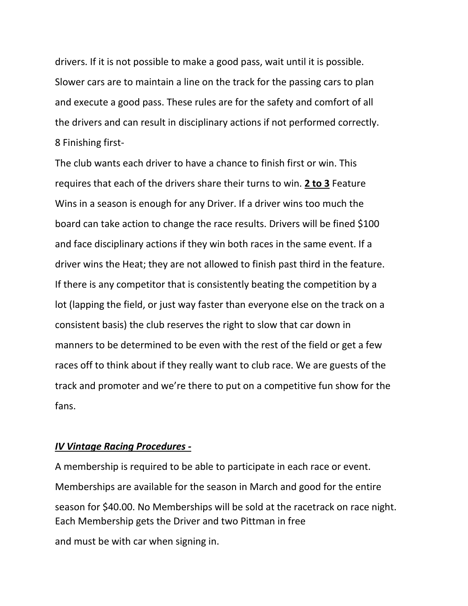drivers. If it is not possible to make a good pass, wait until it is possible. Slower cars are to maintain a line on the track for the passing cars to plan and execute a good pass. These rules are for the safety and comfort of all the drivers and can result in disciplinary actions if not performed correctly. 8 Finishing first-

The club wants each driver to have a chance to finish first or win. This requires that each of the drivers share their turns to win. **2 to 3** Feature Wins in a season is enough for any Driver. If a driver wins too much the board can take action to change the race results. Drivers will be fined \$100 and face disciplinary actions if they win both races in the same event. If a driver wins the Heat; they are not allowed to finish past third in the feature. If there is any competitor that is consistently beating the competition by a lot (lapping the field, or just way faster than everyone else on the track on a consistent basis) the club reserves the right to slow that car down in manners to be determined to be even with the rest of the field or get a few races off to think about if they really want to club race. We are guests of the track and promoter and we're there to put on a competitive fun show for the fans.

#### *IV Vintage Racing Procedures -*

A membership is required to be able to participate in each race or event. Memberships are available for the season in March and good for the entire season for \$40.00. No Memberships will be sold at the racetrack on race night. Each Membership gets the Driver and two Pittman in free

and must be with car when signing in.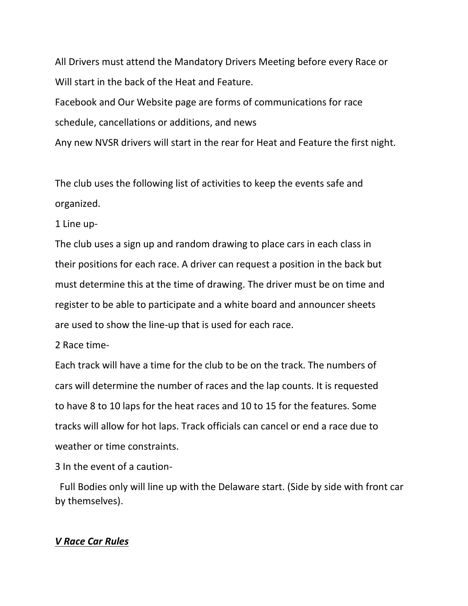All Drivers must attend the Mandatory Drivers Meeting before every Race or Will start in the back of the Heat and Feature.

Facebook and Our Website page are forms of communications for race schedule, cancellations or additions, and news

Any new NVSR drivers will start in the rear for Heat and Feature the first night.

The club uses the following list of activities to keep the events safe and organized.

1 Line up-

The club uses a sign up and random drawing to place cars in each class in their positions for each race. A driver can request a position in the back but must determine this at the time of drawing. The driver must be on time and register to be able to participate and a white board and announcer sheets are used to show the line-up that is used for each race.

2 Race time-

Each track will have a time for the club to be on the track. The numbers of cars will determine the number of races and the lap counts. It is requested to have 8 to 10 laps for the heat races and 10 to 15 for the features. Some tracks will allow for hot laps. Track officials can cancel or end a race due to weather or time constraints.

3 In the event of a caution-

 Full Bodies only will line up with the Delaware start. (Side by side with front car by themselves).

#### *V Race Car Rules*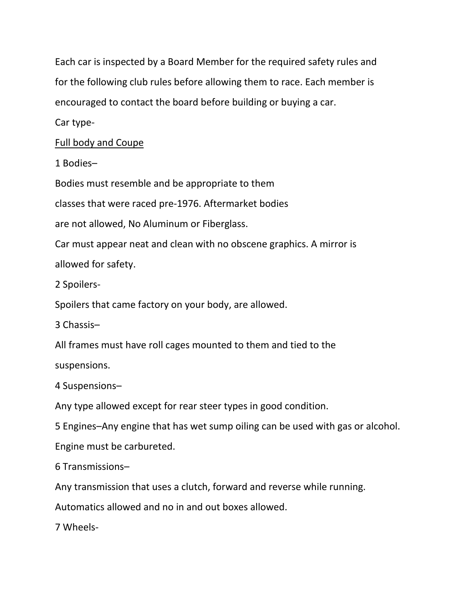Each car is inspected by a Board Member for the required safety rules and for the following club rules before allowing them to race. Each member is encouraged to contact the board before building or buying a car.

Car type-

Full body and Coupe

1 Bodies–

Bodies must resemble and be appropriate to them

classes that were raced pre-1976. Aftermarket bodies

are not allowed, No Aluminum or Fiberglass.

Car must appear neat and clean with no obscene graphics. A mirror is allowed for safety.

2 Spoilers-

Spoilers that came factory on your body, are allowed.

3 Chassis–

All frames must have roll cages mounted to them and tied to the

suspensions.

4 Suspensions–

Any type allowed except for rear steer types in good condition.

5 Engines–Any engine that has wet sump oiling can be used with gas or alcohol.

Engine must be carbureted.

6 Transmissions–

Any transmission that uses a clutch, forward and reverse while running.

Automatics allowed and no in and out boxes allowed.

7 Wheels-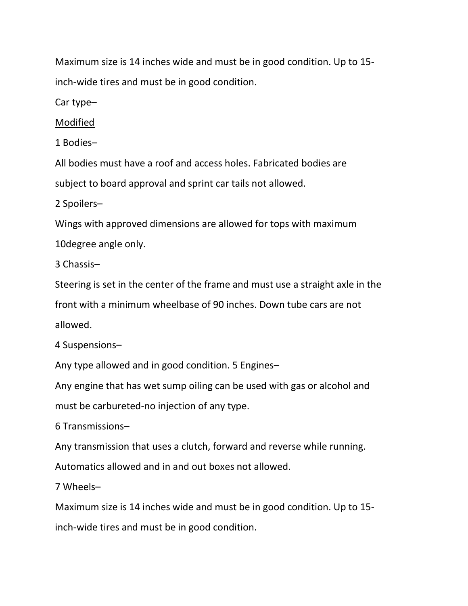Maximum size is 14 inches wide and must be in good condition. Up to 15 inch-wide tires and must be in good condition.

Car type–

Modified

1 Bodies–

All bodies must have a roof and access holes. Fabricated bodies are subject to board approval and sprint car tails not allowed.

2 Spoilers–

Wings with approved dimensions are allowed for tops with maximum

10degree angle only.

3 Chassis–

Steering is set in the center of the frame and must use a straight axle in the

front with a minimum wheelbase of 90 inches. Down tube cars are not

allowed.

4 Suspensions–

Any type allowed and in good condition. 5 Engines–

Any engine that has wet sump oiling can be used with gas or alcohol and

must be carbureted-no injection of any type.

6 Transmissions–

Any transmission that uses a clutch, forward and reverse while running.

Automatics allowed and in and out boxes not allowed.

7 Wheels–

Maximum size is 14 inches wide and must be in good condition. Up to 15-

inch-wide tires and must be in good condition.